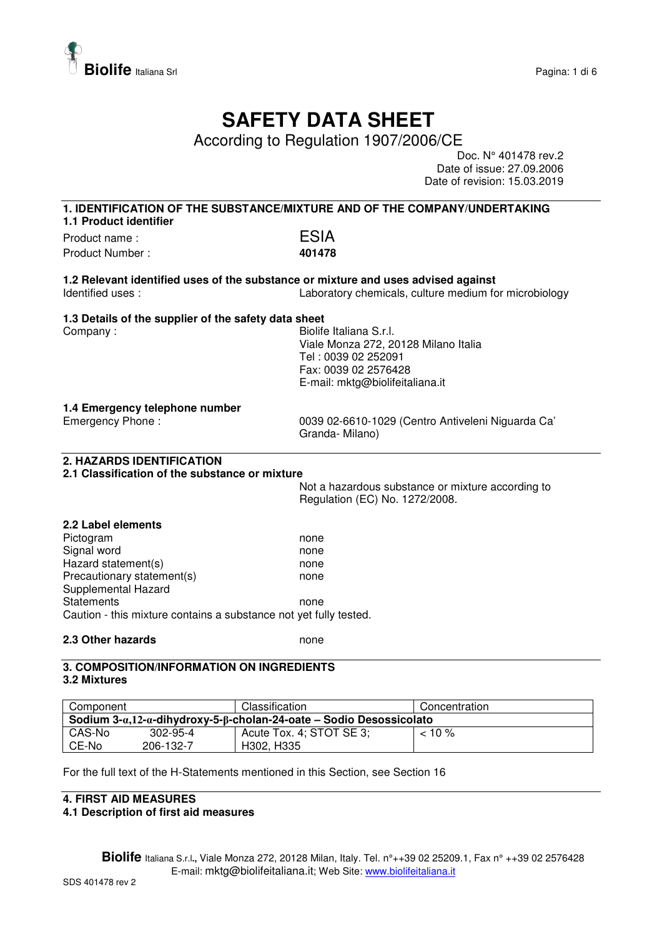

## **SAFETY DATA SHEET**

According to Regulation 1907/2006/CE

Doc. N° 401478 rev.2 Date of issue: 27.09.2006 Date of revision: 15.03.2019

| 1. IDENTIFICATION OF THE SUBSTANCE/MIXTURE AND OF THE COMPANY/UNDERTAKING<br>1.1 Product identifier |                                                       |  |
|-----------------------------------------------------------------------------------------------------|-------------------------------------------------------|--|
| Product name:                                                                                       | <b>ESIA</b>                                           |  |
| Product Number:                                                                                     | 401478                                                |  |
|                                                                                                     |                                                       |  |
| 1.2 Relevant identified uses of the substance or mixture and uses advised against                   |                                                       |  |
| Identified uses:                                                                                    | Laboratory chemicals, culture medium for microbiology |  |
| 1.3 Details of the supplier of the safety data sheet                                                |                                                       |  |
| Company:                                                                                            | Biolife Italiana S.r.I.                               |  |
|                                                                                                     | Viale Monza 272, 20128 Milano Italia                  |  |
|                                                                                                     | Tel: 0039 02 252091                                   |  |
|                                                                                                     | Fax: 0039 02 2576428                                  |  |
|                                                                                                     | E-mail: mktg@biolifeitaliana.it                       |  |
| 1.4 Emergency telephone number                                                                      |                                                       |  |
| Emergency Phone:                                                                                    | 0039 02-6610-1029 (Centro Antiveleni Niguarda Ca'     |  |
|                                                                                                     | Granda-Milano)                                        |  |
| 2. HAZARDS IDENTIFICATION<br>2.1 Classification of the substance or mixture                         |                                                       |  |
|                                                                                                     | Not a hazardous substance or mixture according to     |  |
|                                                                                                     | Regulation (EC) No. 1272/2008.                        |  |
| 2.2 Label elements                                                                                  |                                                       |  |
| Pictogram                                                                                           | none                                                  |  |
| Signal word                                                                                         | none                                                  |  |
| Hazard statement(s)                                                                                 | none                                                  |  |
| Precautionary statement(s)                                                                          | none                                                  |  |
| Supplemental Hazard                                                                                 |                                                       |  |
| <b>Statements</b>                                                                                   | none                                                  |  |
| Caution - this mixture contains a substance not yet fully tested.                                   |                                                       |  |
| 2.3 Other hazards                                                                                   | none                                                  |  |
| 3. COMPOSITION/INFORMATION ON INGREDIENTS                                                           |                                                       |  |

#### **3.2 Mixtures**

| Component                                                                     |           | Classification           | Concentration |  |
|-------------------------------------------------------------------------------|-----------|--------------------------|---------------|--|
| Sodium $3-a,12-a$ -dihydroxy-5- $\beta$ -cholan-24-oate – Sodio Desossicolato |           |                          |               |  |
| CAS-No                                                                        | 302-95-4  | Acute Tox. 4; STOT SE 3; | $10\%$        |  |
| CE-No                                                                         | 206-132-7 | H302, H335               |               |  |

For the full text of the H-Statements mentioned in this Section, see Section 16

### **4. FIRST AID MEASURES**

**4.1 Description of first aid measures**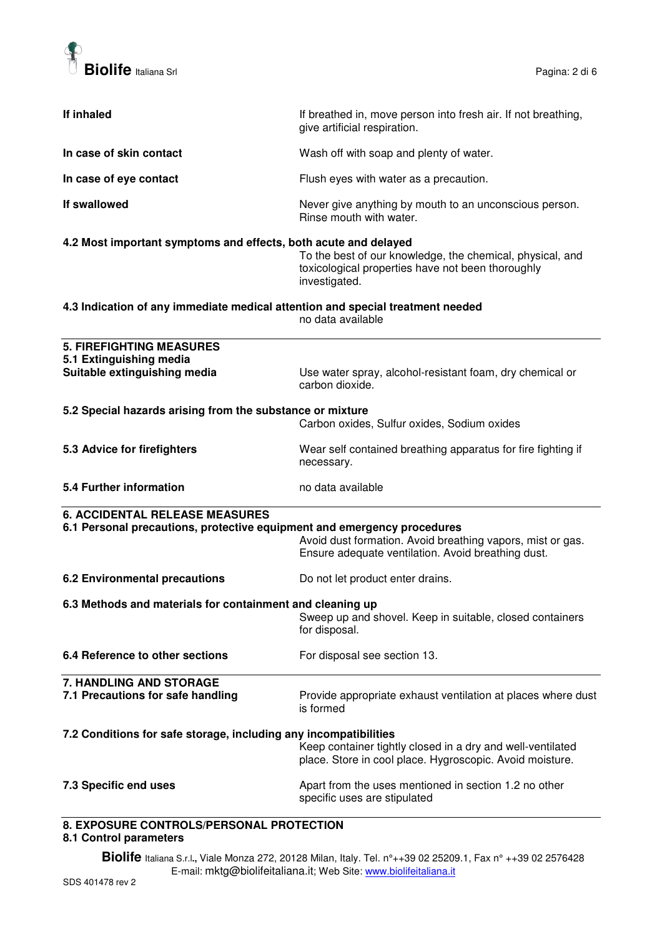

| If inhaled                                                                                                                             | If breathed in, move person into fresh air. If not breathing,<br>give artificial respiration.                                   |
|----------------------------------------------------------------------------------------------------------------------------------------|---------------------------------------------------------------------------------------------------------------------------------|
| In case of skin contact                                                                                                                | Wash off with soap and plenty of water.                                                                                         |
| In case of eye contact                                                                                                                 | Flush eyes with water as a precaution.                                                                                          |
| If swallowed                                                                                                                           | Never give anything by mouth to an unconscious person.<br>Rinse mouth with water.                                               |
| 4.2 Most important symptoms and effects, both acute and delayed                                                                        | To the best of our knowledge, the chemical, physical, and<br>toxicological properties have not been thoroughly<br>investigated. |
| 4.3 Indication of any immediate medical attention and special treatment needed<br>no data available                                    |                                                                                                                                 |
| <b>5. FIREFIGHTING MEASURES</b>                                                                                                        |                                                                                                                                 |
| 5.1 Extinguishing media                                                                                                                |                                                                                                                                 |
| Suitable extinguishing media                                                                                                           | Use water spray, alcohol-resistant foam, dry chemical or<br>carbon dioxide.                                                     |
| 5.2 Special hazards arising from the substance or mixture                                                                              | Carbon oxides, Sulfur oxides, Sodium oxides                                                                                     |
|                                                                                                                                        |                                                                                                                                 |
| 5.3 Advice for firefighters                                                                                                            | Wear self contained breathing apparatus for fire fighting if<br>necessary.                                                      |
| 5.4 Further information                                                                                                                | no data available                                                                                                               |
| <b>6. ACCIDENTAL RELEASE MEASURES</b>                                                                                                  |                                                                                                                                 |
| 6.1 Personal precautions, protective equipment and emergency procedures                                                                |                                                                                                                                 |
|                                                                                                                                        | Avoid dust formation. Avoid breathing vapors, mist or gas.<br>Ensure adequate ventilation. Avoid breathing dust.                |
| <b>6.2 Environmental precautions</b>                                                                                                   | Do not let product enter drains.                                                                                                |
| 6.3 Methods and materials for containment and cleaning up<br>Sweep up and shovel. Keep in suitable, closed containers<br>for disposal. |                                                                                                                                 |
| 6.4 Reference to other sections                                                                                                        | For disposal see section 13.                                                                                                    |
| 7. HANDLING AND STORAGE                                                                                                                |                                                                                                                                 |
| 7.1 Precautions for safe handling                                                                                                      | Provide appropriate exhaust ventilation at places where dust<br>is formed                                                       |
| 7.2 Conditions for safe storage, including any incompatibilities                                                                       | Keep container tightly closed in a dry and well-ventilated<br>place. Store in cool place. Hygroscopic. Avoid moisture.          |
| 7.3 Specific end uses                                                                                                                  | Apart from the uses mentioned in section 1.2 no other<br>specific uses are stipulated                                           |
| <b>0 EVDOCUDE CONTROL CIRERCANAL RROTECTION</b>                                                                                        |                                                                                                                                 |

#### **8. EXPOSURE CONTROLS/PERSONAL PROTECTION 8.1 Control parameters**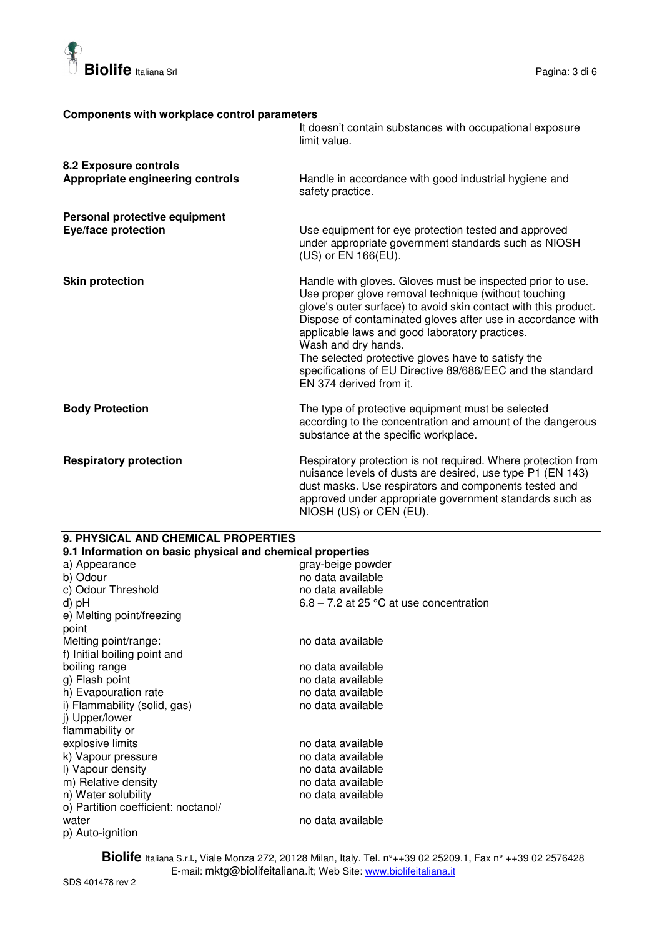

#### **Components with workplace control parameters**

|                                                             | It doesn't contain substances with occupational exposure<br>limit value.                                                                                                                                                                                                                                                                                                                                                                                                     |
|-------------------------------------------------------------|------------------------------------------------------------------------------------------------------------------------------------------------------------------------------------------------------------------------------------------------------------------------------------------------------------------------------------------------------------------------------------------------------------------------------------------------------------------------------|
| 8.2 Exposure controls<br>Appropriate engineering controls   | Handle in accordance with good industrial hygiene and<br>safety practice.                                                                                                                                                                                                                                                                                                                                                                                                    |
| Personal protective equipment<br><b>Eye/face protection</b> | Use equipment for eye protection tested and approved<br>under appropriate government standards such as NIOSH<br>(US) or EN 166(EU).                                                                                                                                                                                                                                                                                                                                          |
| <b>Skin protection</b>                                      | Handle with gloves. Gloves must be inspected prior to use.<br>Use proper glove removal technique (without touching<br>glove's outer surface) to avoid skin contact with this product.<br>Dispose of contaminated gloves after use in accordance with<br>applicable laws and good laboratory practices.<br>Wash and dry hands.<br>The selected protective gloves have to satisfy the<br>specifications of EU Directive 89/686/EEC and the standard<br>EN 374 derived from it. |
| <b>Body Protection</b>                                      | The type of protective equipment must be selected<br>according to the concentration and amount of the dangerous<br>substance at the specific workplace.                                                                                                                                                                                                                                                                                                                      |
| <b>Respiratory protection</b>                               | Respiratory protection is not required. Where protection from<br>nuisance levels of dusts are desired, use type P1 (EN 143)<br>dust masks. Use respirators and components tested and<br>approved under appropriate government standards such as<br>NIOSH (US) or CEN (EU).                                                                                                                                                                                                   |

#### **9. PHYSICAL AND CHEMICAL PROPERTIES**

| 9.1 Information on basic physical and chemical properties |                                           |
|-----------------------------------------------------------|-------------------------------------------|
| a) Appearance                                             | gray-beige powder                         |
| b) Odour                                                  | no data available                         |
| c) Odour Threshold                                        | no data available                         |
| d) pH                                                     | $6.8 - 7.2$ at 25 °C at use concentration |
| e) Melting point/freezing                                 |                                           |
| point                                                     |                                           |
| Melting point/range:                                      | no data available                         |
| f) Initial boiling point and                              |                                           |
| boiling range                                             | no data available                         |
| g) Flash point                                            | no data available                         |
| h) Evapouration rate                                      | no data available                         |
| i) Flammability (solid, gas)                              | no data available                         |
| j) Upper/lower                                            |                                           |
| flammability or                                           |                                           |
| explosive limits                                          | no data available                         |
| k) Vapour pressure                                        | no data available                         |
| I) Vapour density                                         | no data available                         |
| m) Relative density                                       | no data available                         |
| n) Water solubility                                       | no data available                         |
| o) Partition coefficient: noctanol/                       |                                           |
| water                                                     | no data available                         |
| p) Auto-ignition                                          |                                           |
|                                                           |                                           |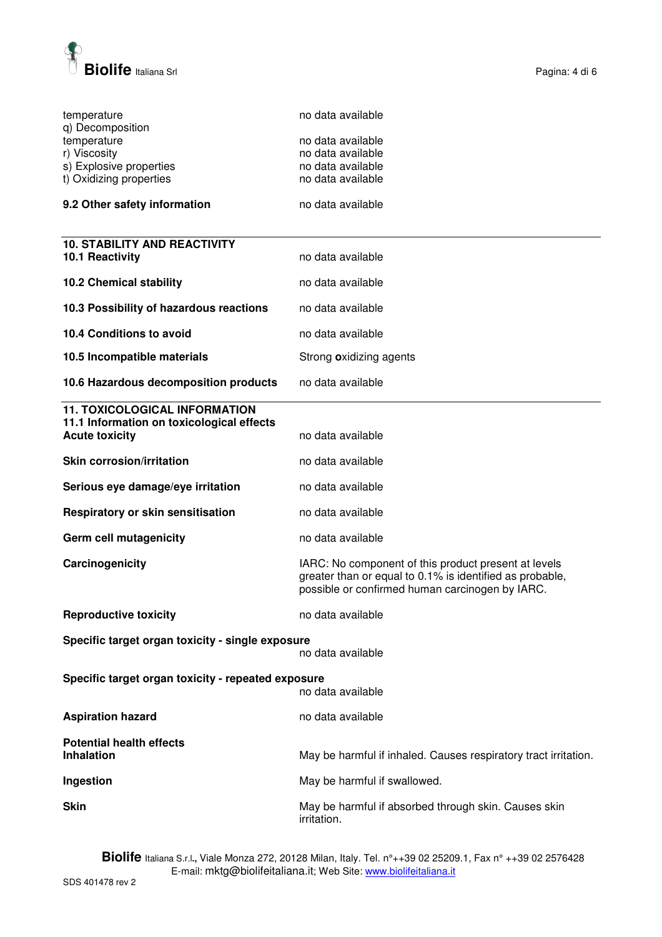

| temperature<br>q) Decomposition<br>temperature<br>r) Viscosity<br>s) Explosive properties<br>t) Oxidizing properties | no data available<br>no data available<br>no data available<br>no data available<br>no data available                                                               |
|----------------------------------------------------------------------------------------------------------------------|---------------------------------------------------------------------------------------------------------------------------------------------------------------------|
| 9.2 Other safety information                                                                                         | no data available                                                                                                                                                   |
|                                                                                                                      |                                                                                                                                                                     |
| <b>10. STABILITY AND REACTIVITY</b><br>10.1 Reactivity                                                               | no data available                                                                                                                                                   |
| <b>10.2 Chemical stability</b>                                                                                       | no data available                                                                                                                                                   |
| 10.3 Possibility of hazardous reactions                                                                              | no data available                                                                                                                                                   |
| 10.4 Conditions to avoid                                                                                             | no data available                                                                                                                                                   |
| 10.5 Incompatible materials                                                                                          | Strong oxidizing agents                                                                                                                                             |
| 10.6 Hazardous decomposition products                                                                                | no data available                                                                                                                                                   |
| <b>11. TOXICOLOGICAL INFORMATION</b><br>11.1 Information on toxicological effects<br><b>Acute toxicity</b>           | no data available                                                                                                                                                   |
| <b>Skin corrosion/irritation</b>                                                                                     | no data available                                                                                                                                                   |
| Serious eye damage/eye irritation                                                                                    | no data available                                                                                                                                                   |
| Respiratory or skin sensitisation                                                                                    | no data available                                                                                                                                                   |
| Germ cell mutagenicity                                                                                               | no data available                                                                                                                                                   |
| Carcinogenicity                                                                                                      | IARC: No component of this product present at levels<br>greater than or equal to 0.1% is identified as probable,<br>possible or confirmed human carcinogen by IARC. |
| <b>Reproductive toxicity</b>                                                                                         | no data available                                                                                                                                                   |
| Specific target organ toxicity - single exposure                                                                     | no data available                                                                                                                                                   |
| Specific target organ toxicity - repeated exposure<br>no data available                                              |                                                                                                                                                                     |
| <b>Aspiration hazard</b>                                                                                             | no data available                                                                                                                                                   |
| <b>Potential health effects</b><br><b>Inhalation</b>                                                                 | May be harmful if inhaled. Causes respiratory tract irritation.                                                                                                     |
| Ingestion                                                                                                            | May be harmful if swallowed.                                                                                                                                        |
| <b>Skin</b>                                                                                                          | May be harmful if absorbed through skin. Causes skin<br>irritation.                                                                                                 |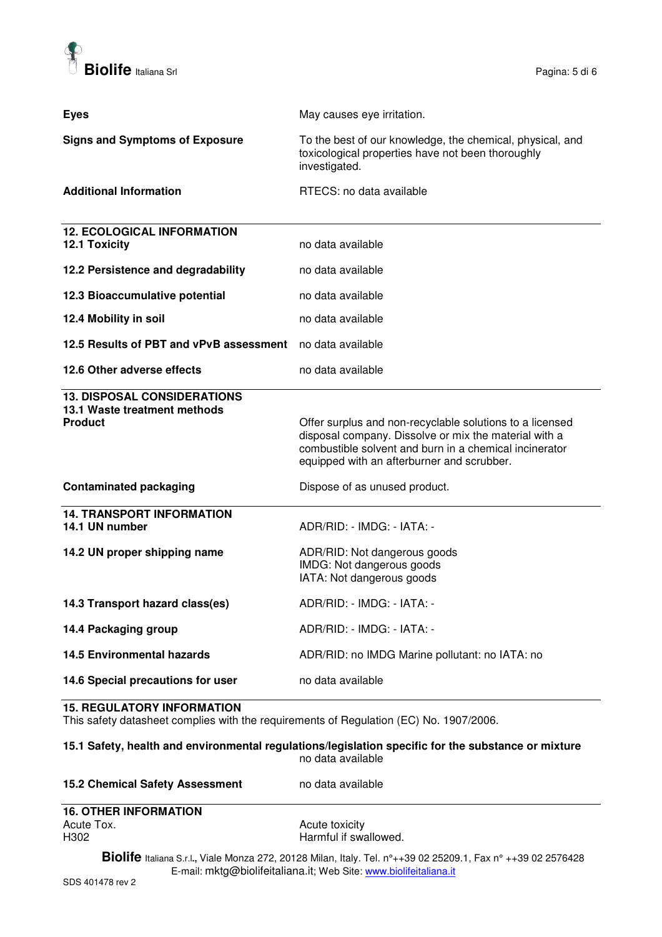

| <b>Eyes</b>                                                                                                           | May causes eye irritation.                                                                                                                                                                                                                                 |
|-----------------------------------------------------------------------------------------------------------------------|------------------------------------------------------------------------------------------------------------------------------------------------------------------------------------------------------------------------------------------------------------|
| <b>Signs and Symptoms of Exposure</b>                                                                                 | To the best of our knowledge, the chemical, physical, and<br>toxicological properties have not been thoroughly<br>investigated.                                                                                                                            |
| <b>Additional Information</b>                                                                                         | RTECS: no data available                                                                                                                                                                                                                                   |
| <b>12. ECOLOGICAL INFORMATION</b><br><b>12.1 Toxicity</b>                                                             | no data available                                                                                                                                                                                                                                          |
| 12.2 Persistence and degradability                                                                                    | no data available                                                                                                                                                                                                                                          |
| 12.3 Bioaccumulative potential                                                                                        | no data available                                                                                                                                                                                                                                          |
| 12.4 Mobility in soil                                                                                                 | no data available                                                                                                                                                                                                                                          |
| 12.5 Results of PBT and vPvB assessment no data available                                                             |                                                                                                                                                                                                                                                            |
| 12.6 Other adverse effects                                                                                            | no data available                                                                                                                                                                                                                                          |
| <b>13. DISPOSAL CONSIDERATIONS</b><br>13.1 Waste treatment methods<br><b>Product</b><br><b>Contaminated packaging</b> | Offer surplus and non-recyclable solutions to a licensed<br>disposal company. Dissolve or mix the material with a<br>combustible solvent and burn in a chemical incinerator<br>equipped with an afterburner and scrubber.<br>Dispose of as unused product. |
| <b>14. TRANSPORT INFORMATION</b>                                                                                      |                                                                                                                                                                                                                                                            |
| 14.1 UN number                                                                                                        | ADR/RID: - IMDG: - IATA: -                                                                                                                                                                                                                                 |
| 14.2 UN proper shipping name                                                                                          | ADR/RID: Not dangerous goods<br>IMDG: Not dangerous goods<br>IATA: Not dangerous goods                                                                                                                                                                     |
| 14.3 Transport hazard class(es)                                                                                       | ADR/RID: - IMDG: - IATA: -                                                                                                                                                                                                                                 |
| 14.4 Packaging group                                                                                                  | ADR/RID: - IMDG: - IATA: -                                                                                                                                                                                                                                 |
| <b>14.5 Environmental hazards</b>                                                                                     | ADR/RID: no IMDG Marine pollutant: no IATA: no                                                                                                                                                                                                             |
| 14.6 Special precautions for user                                                                                     | no data available                                                                                                                                                                                                                                          |

#### **15. REGULATORY INFORMATION**

This safety datasheet complies with the requirements of Regulation (EC) No. 1907/2006.

#### **15.1 Safety, health and environmental regulations/legislation specific for the substance or mixture**  no data available

#### 15.2 Chemical Safety Assessment no data available

# **16. OTHER INFORMATION**<br>Acute Tox.

Acute Tox. Acute toxicity Harmful if swallowed.